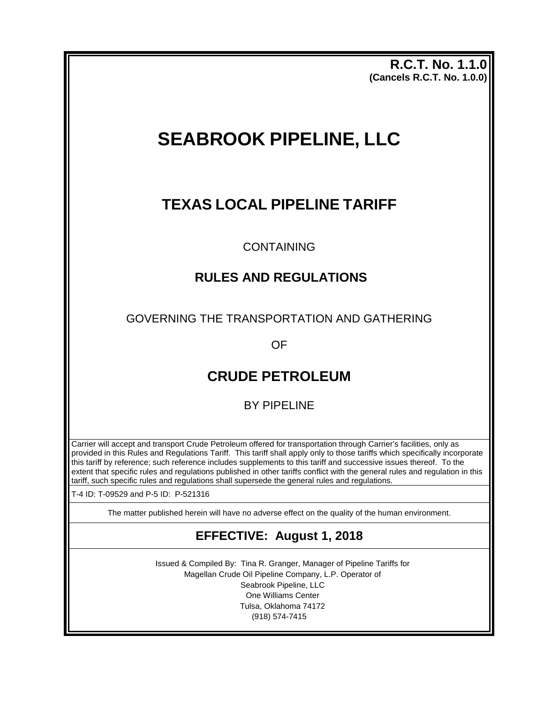**R.C.T. No. 1.1.0 (Cancels R.C.T. No. 1.0.0)** 

# **SEABROOK PIPELINE, LLC**

## **TEXAS LOCAL PIPELINE TARIFF**

### CONTAINING

## **RULES AND REGULATIONS**

GOVERNING THE TRANSPORTATION AND GATHERING

OF

## **CRUDE PETROLEUM**

BY PIPELINE

Carrier will accept and transport Crude Petroleum offered for transportation through Carrier's facilities, only as provided in this Rules and Regulations Tariff. This tariff shall apply only to those tariffs which specifically incorporate this tariff by reference; such reference includes supplements to this tariff and successive issues thereof. To the extent that specific rules and regulations published in other tariffs conflict with the general rules and regulation in this tariff, such specific rules and regulations shall supersede the general rules and regulations.

T-4 ID: T-09529 and P-5 ID: P-521316

The matter published herein will have no adverse effect on the quality of the human environment.

## **EFFECTIVE: August 1, 2018**

Issued & Compiled By: Tina R. Granger, Manager of Pipeline Tariffs for Magellan Crude Oil Pipeline Company, L.P. Operator of Seabrook Pipeline, LLC One Williams Center Tulsa, Oklahoma 74172 (918) 574-7415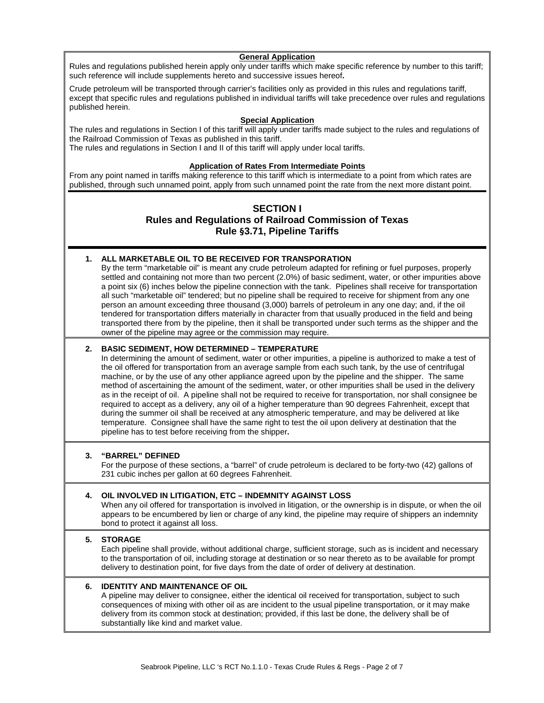#### **General Application**

Rules and regulations published herein apply only under tariffs which make specific reference by number to this tariff; such reference will include supplements hereto and successive issues hereof**.**

Crude petroleum will be transported through carrier's facilities only as provided in this rules and regulations tariff, except that specific rules and regulations published in individual tariffs will take precedence over rules and regulations published herein.

#### **Special Application**

The rules and regulations in Section I of this tariff will apply under tariffs made subject to the rules and regulations of the Railroad Commission of Texas as published in this tariff. The rules and regulations in Section I and II of this tariff will apply under local tariffs.

#### **Application of Rates From Intermediate Points**

From any point named in tariffs making reference to this tariff which is intermediate to a point from which rates are published, through such unnamed point, apply from such unnamed point the rate from the next more distant point.

#### **SECTION I Rules and Regulations of Railroad Commission of Texas Rule §3.71, Pipeline Tariffs**

#### **1. ALL MARKETABLE OIL TO BE RECEIVED FOR TRANSPORATION**

By the term "marketable oil" is meant any crude petroleum adapted for refining or fuel purposes, properly settled and containing not more than two percent (2.0%) of basic sediment, water, or other impurities above a point six (6) inches below the pipeline connection with the tank. Pipelines shall receive for transportation all such "marketable oil" tendered; but no pipeline shall be required to receive for shipment from any one person an amount exceeding three thousand (3,000) barrels of petroleum in any one day; and, if the oil tendered for transportation differs materially in character from that usually produced in the field and being transported there from by the pipeline, then it shall be transported under such terms as the shipper and the owner of the pipeline may agree or the commission may require.

#### **2. BASIC SEDIMENT, HOW DETERMINED – TEMPERATURE**

In determining the amount of sediment, water or other impurities, a pipeline is authorized to make a test of the oil offered for transportation from an average sample from each such tank, by the use of centrifugal machine, or by the use of any other appliance agreed upon by the pipeline and the shipper. The same method of ascertaining the amount of the sediment, water, or other impurities shall be used in the delivery as in the receipt of oil. A pipeline shall not be required to receive for transportation, nor shall consignee be required to accept as a delivery, any oil of a higher temperature than 90 degrees Fahrenheit, except that during the summer oil shall be received at any atmospheric temperature, and may be delivered at like temperature. Consignee shall have the same right to test the oil upon delivery at destination that the pipeline has to test before receiving from the shipper**.**

#### **3. "BARREL" DEFINED**

For the purpose of these sections, a "barrel" of crude petroleum is declared to be forty-two (42) gallons of 231 cubic inches per gallon at 60 degrees Fahrenheit.

#### **4. OIL INVOLVED IN LITIGATION, ETC – INDEMNITY AGAINST LOSS**

When any oil offered for transportation is involved in litigation, or the ownership is in dispute, or when the oil appears to be encumbered by lien or charge of any kind, the pipeline may require of shippers an indemnity bond to protect it against all loss.

#### **5. STORAGE**

Each pipeline shall provide, without additional charge, sufficient storage, such as is incident and necessary to the transportation of oil, including storage at destination or so near thereto as to be available for prompt delivery to destination point, for five days from the date of order of delivery at destination.

#### **6. IDENTITY AND MAINTENANCE OF OIL**

A pipeline may deliver to consignee, either the identical oil received for transportation, subject to such consequences of mixing with other oil as are incident to the usual pipeline transportation, or it may make delivery from its common stock at destination; provided, if this last be done, the delivery shall be of substantially like kind and market value.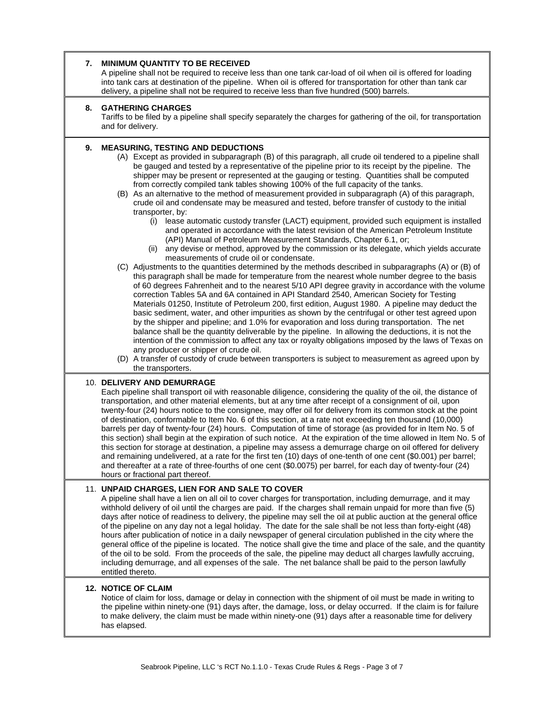| 7. | <b>MINIMUM QUANTITY TO BE RECEIVED</b><br>A pipeline shall not be required to receive less than one tank car-load of oil when oil is offered for loading<br>into tank cars at destination of the pipeline. When oil is offered for transportation for other than tank car<br>delivery, a pipeline shall not be required to receive less than five hundred (500) barrels.                                                                                                                                                                                                                                                                                                                                                                                                                                                                                                                                                                                                                                                                                                                                                                             |
|----|------------------------------------------------------------------------------------------------------------------------------------------------------------------------------------------------------------------------------------------------------------------------------------------------------------------------------------------------------------------------------------------------------------------------------------------------------------------------------------------------------------------------------------------------------------------------------------------------------------------------------------------------------------------------------------------------------------------------------------------------------------------------------------------------------------------------------------------------------------------------------------------------------------------------------------------------------------------------------------------------------------------------------------------------------------------------------------------------------------------------------------------------------|
| 8. | <b>GATHERING CHARGES</b><br>Tariffs to be filed by a pipeline shall specify separately the charges for gathering of the oil, for transportation<br>and for delivery.                                                                                                                                                                                                                                                                                                                                                                                                                                                                                                                                                                                                                                                                                                                                                                                                                                                                                                                                                                                 |
| 9. | <b>MEASURING, TESTING AND DEDUCTIONS</b><br>(A) Except as provided in subparagraph (B) of this paragraph, all crude oil tendered to a pipeline shall<br>be gauged and tested by a representative of the pipeline prior to its receipt by the pipeline. The<br>shipper may be present or represented at the gauging or testing. Quantities shall be computed<br>from correctly compiled tank tables showing 100% of the full capacity of the tanks.<br>(B) As an alternative to the method of measurement provided in subparagraph (A) of this paragraph,<br>crude oil and condensate may be measured and tested, before transfer of custody to the initial<br>transporter, by:<br>lease automatic custody transfer (LACT) equipment, provided such equipment is installed<br>(i)<br>and operated in accordance with the latest revision of the American Petroleum Institute<br>(API) Manual of Petroleum Measurement Standards, Chapter 6.1, or;<br>(ii) any devise or method, approved by the commission or its delegate, which yields accurate                                                                                                     |
|    | measurements of crude oil or condensate.<br>(C) Adjustments to the quantities determined by the methods described in subparagraphs (A) or (B) of<br>this paragraph shall be made for temperature from the nearest whole number degree to the basis<br>of 60 degrees Fahrenheit and to the nearest 5/10 API degree gravity in accordance with the volume<br>correction Tables 5A and 6A contained in API Standard 2540, American Society for Testing<br>Materials 01250, Institute of Petroleum 200, first edition, August 1980. A pipeline may deduct the<br>basic sediment, water, and other impurities as shown by the centrifugal or other test agreed upon<br>by the shipper and pipeline; and 1.0% for evaporation and loss during transportation. The net<br>balance shall be the quantity deliverable by the pipeline. In allowing the deductions, it is not the<br>intention of the commission to affect any tax or royalty obligations imposed by the laws of Texas on<br>any producer or shipper of crude oil.<br>(D) A transfer of custody of crude between transporters is subject to measurement as agreed upon by<br>the transporters. |
|    | 10. DELIVERY AND DEMURRAGE<br>Each pipeline shall transport oil with reasonable diligence, considering the quality of the oil, the distance of<br>transportation, and other material elements, but at any time after receipt of a consignment of oil, upon<br>twenty-four (24) hours notice to the consignee, may offer oil for delivery from its common stock at the point<br>of destination, conformable to Item No. 6 of this section, at a rate not exceeding ten thousand (10,000)<br>barrels per day of twenty-four (24) hours. Computation of time of storage (as provided for in Item No. 5 of<br>this section) shall begin at the expiration of such notice. At the expiration of the time allowed in Item No. 5 of<br>this section for storage at destination, a pipeline may assess a demurrage charge on oil offered for delivery<br>and remaining undelivered, at a rate for the first ten (10) days of one-tenth of one cent (\$0.001) per barrel;<br>and thereafter at a rate of three-fourths of one cent (\$0.0075) per barrel, for each day of twenty-four (24)<br>hours or fractional part thereof.                               |
|    | 11. UNPAID CHARGES, LIEN FOR AND SALE TO COVER<br>A pipeline shall have a lien on all oil to cover charges for transportation, including demurrage, and it may<br>withhold delivery of oil until the charges are paid. If the charges shall remain unpaid for more than five (5)<br>days after notice of readiness to delivery, the pipeline may sell the oil at public auction at the general office<br>of the pipeline on any day not a legal holiday. The date for the sale shall be not less than forty-eight (48)<br>hours after publication of notice in a daily newspaper of general circulation published in the city where the<br>general office of the pipeline is located. The notice shall give the time and place of the sale, and the quantity<br>of the oil to be sold. From the proceeds of the sale, the pipeline may deduct all charges lawfully accruing,<br>including demurrage, and all expenses of the sale. The net balance shall be paid to the person lawfully<br>entitled thereto.                                                                                                                                         |
|    | <b>12. NOTICE OF CLAIM</b><br>Notice of claim for loss, damage or delay in connection with the shipment of oil must be made in writing to<br>the pipeline within ninety-one (91) days after, the damage, loss, or delay occurred. If the claim is for failure<br>to make delivery, the claim must be made within ninety-one (91) days after a reasonable time for delivery<br>has elapsed.                                                                                                                                                                                                                                                                                                                                                                                                                                                                                                                                                                                                                                                                                                                                                           |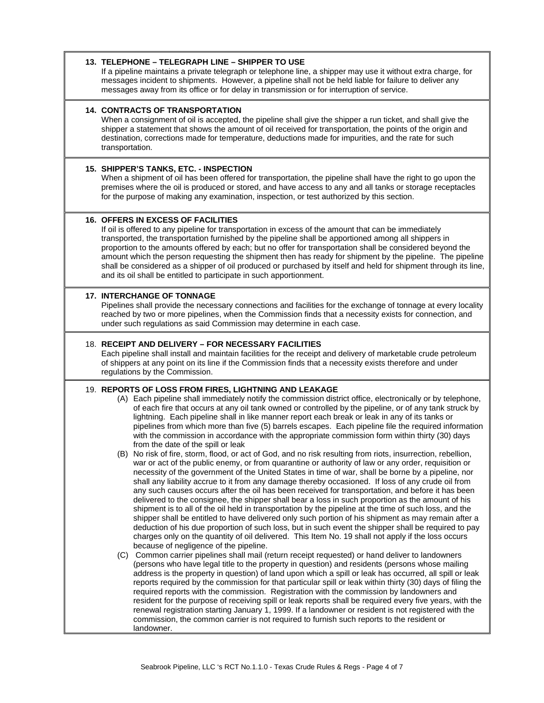#### **13. TELEPHONE – TELEGRAPH LINE – SHIPPER TO USE**

If a pipeline maintains a private telegraph or telephone line, a shipper may use it without extra charge, for messages incident to shipments. However, a pipeline shall not be held liable for failure to deliver any messages away from its office or for delay in transmission or for interruption of service.

#### **14. CONTRACTS OF TRANSPORTATION**

When a consignment of oil is accepted, the pipeline shall give the shipper a run ticket, and shall give the shipper a statement that shows the amount of oil received for transportation, the points of the origin and destination, corrections made for temperature, deductions made for impurities, and the rate for such transportation.

#### **15. SHIPPER'S TANKS, ETC. - INSPECTION**

When a shipment of oil has been offered for transportation, the pipeline shall have the right to go upon the premises where the oil is produced or stored, and have access to any and all tanks or storage receptacles for the purpose of making any examination, inspection, or test authorized by this section.

#### **16. OFFERS IN EXCESS OF FACILITIES**

If oil is offered to any pipeline for transportation in excess of the amount that can be immediately transported, the transportation furnished by the pipeline shall be apportioned among all shippers in proportion to the amounts offered by each; but no offer for transportation shall be considered beyond the amount which the person requesting the shipment then has ready for shipment by the pipeline. The pipeline shall be considered as a shipper of oil produced or purchased by itself and held for shipment through its line, and its oil shall be entitled to participate in such apportionment.

#### **17. INTERCHANGE OF TONNAGE**

Pipelines shall provide the necessary connections and facilities for the exchange of tonnage at every locality reached by two or more pipelines, when the Commission finds that a necessity exists for connection, and under such regulations as said Commission may determine in each case.

#### 18. **RECEIPT AND DELIVERY – FOR NECESSARY FACILITIES**

Each pipeline shall install and maintain facilities for the receipt and delivery of marketable crude petroleum of shippers at any point on its line if the Commission finds that a necessity exists therefore and under regulations by the Commission.

#### 19. **REPORTS OF LOSS FROM FIRES, LIGHTNING AND LEAKAGE**

- (A) Each pipeline shall immediately notify the commission district office, electronically or by telephone, of each fire that occurs at any oil tank owned or controlled by the pipeline, or of any tank struck by lightning. Each pipeline shall in like manner report each break or leak in any of its tanks or pipelines from which more than five (5) barrels escapes. Each pipeline file the required information with the commission in accordance with the appropriate commission form within thirty (30) days from the date of the spill or leak
- (B) No risk of fire, storm, flood, or act of God, and no risk resulting from riots, insurrection, rebellion, war or act of the public enemy, or from quarantine or authority of law or any order, requisition or necessity of the government of the United States in time of war, shall be borne by a pipeline, nor shall any liability accrue to it from any damage thereby occasioned. If loss of any crude oil from any such causes occurs after the oil has been received for transportation, and before it has been delivered to the consignee, the shipper shall bear a loss in such proportion as the amount of his shipment is to all of the oil held in transportation by the pipeline at the time of such loss, and the shipper shall be entitled to have delivered only such portion of his shipment as may remain after a deduction of his due proportion of such loss, but in such event the shipper shall be required to pay charges only on the quantity of oil delivered. This Item No. 19 shall not apply if the loss occurs because of negligence of the pipeline.
- (C) Common carrier pipelines shall mail (return receipt requested) or hand deliver to landowners (persons who have legal title to the property in question) and residents (persons whose mailing address is the property in question) of land upon which a spill or leak has occurred, all spill or leak reports required by the commission for that particular spill or leak within thirty (30) days of filing the required reports with the commission. Registration with the commission by landowners and resident for the purpose of receiving spill or leak reports shall be required every five years, with the renewal registration starting January 1, 1999. If a landowner or resident is not registered with the commission, the common carrier is not required to furnish such reports to the resident or landowner.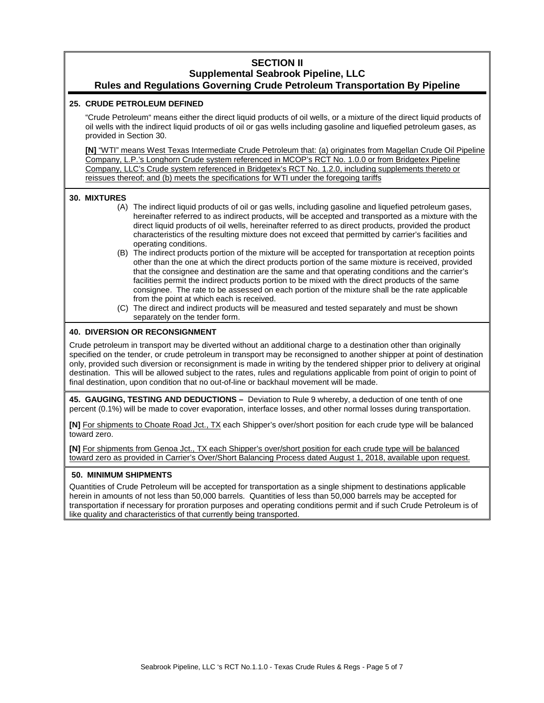#### **SECTION II Supplemental Seabrook Pipeline, LLC Rules and Regulations Governing Crude Petroleum Transportation By Pipeline**

#### **25. CRUDE PETROLEUM DEFINED**

"Crude Petroleum" means either the direct liquid products of oil wells, or a mixture of the direct liquid products of oil wells with the indirect liquid products of oil or gas wells including gasoline and liquefied petroleum gases, as provided in Section 30.

**[N]** "WTI" means West Texas Intermediate Crude Petroleum that: (a) originates from Magellan Crude Oil Pipeline Company, L.P.'s Longhorn Crude system referenced in MCOP's RCT No. 1.0.0 or from Bridgetex Pipeline Company, LLC's Crude system referenced in Bridgetex's RCT No. 1.2.0, including supplements thereto or reissues thereof; and (b) meets the specifications for WTI under the foregoing tariffs

#### **30. MIXTURES**

- (A) The indirect liquid products of oil or gas wells, including gasoline and liquefied petroleum gases, hereinafter referred to as indirect products, will be accepted and transported as a mixture with the direct liquid products of oil wells, hereinafter referred to as direct products, provided the product characteristics of the resulting mixture does not exceed that permitted by carrier's facilities and operating conditions.
- (B) The indirect products portion of the mixture will be accepted for transportation at reception points other than the one at which the direct products portion of the same mixture is received, provided that the consignee and destination are the same and that operating conditions and the carrier's facilities permit the indirect products portion to be mixed with the direct products of the same consignee. The rate to be assessed on each portion of the mixture shall be the rate applicable from the point at which each is received.
- (C) The direct and indirect products will be measured and tested separately and must be shown separately on the tender form.

#### **40. DIVERSION OR RECONSIGNMENT**

Crude petroleum in transport may be diverted without an additional charge to a destination other than originally specified on the tender, or crude petroleum in transport may be reconsigned to another shipper at point of destination only, provided such diversion or reconsignment is made in writing by the tendered shipper prior to delivery at original destination. This will be allowed subject to the rates, rules and regulations applicable from point of origin to point of final destination, upon condition that no out-of-line or backhaul movement will be made.

**45. GAUGING, TESTING AND DEDUCTIONS –** Deviation to Rule 9 whereby, a deduction of one tenth of one percent (0.1%) will be made to cover evaporation, interface losses, and other normal losses during transportation.

**[N]** For shipments to Choate Road Jct., TX each Shipper's over/short position for each crude type will be balanced toward zero.

**[N]** For shipments from Genoa Jct., TX each Shipper's over/short position for each crude type will be balanced toward zero as provided in Carrier's Over/Short Balancing Process dated August 1, 2018, available upon request.

#### **50. MINIMUM SHIPMENTS**

Quantities of Crude Petroleum will be accepted for transportation as a single shipment to destinations applicable herein in amounts of not less than 50,000 barrels. Quantities of less than 50,000 barrels may be accepted for transportation if necessary for proration purposes and operating conditions permit and if such Crude Petroleum is of like quality and characteristics of that currently being transported.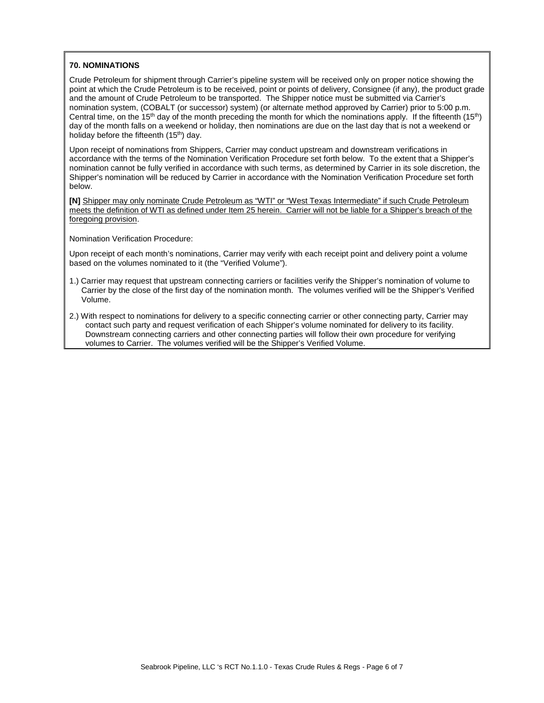#### **70. NOMINATIONS**

Crude Petroleum for shipment through Carrier's pipeline system will be received only on proper notice showing the point at which the Crude Petroleum is to be received, point or points of delivery, Consignee (if any), the product grade and the amount of Crude Petroleum to be transported. The Shipper notice must be submitted via Carrier's nomination system, (COBALT (or successor) system) (or alternate method approved by Carrier) prior to 5:00 p.m. Central time, on the 15th day of the month preceding the month for which the nominations apply. If the fifteenth (15th) day of the month falls on a weekend or holiday, then nominations are due on the last day that is not a weekend or holiday before the fifteenth (15<sup>th</sup>) day.

Upon receipt of nominations from Shippers, Carrier may conduct upstream and downstream verifications in accordance with the terms of the Nomination Verification Procedure set forth below. To the extent that a Shipper's nomination cannot be fully verified in accordance with such terms, as determined by Carrier in its sole discretion, the Shipper's nomination will be reduced by Carrier in accordance with the Nomination Verification Procedure set forth below.

**[N]** Shipper may only nominate Crude Petroleum as "WTI" or "West Texas Intermediate" if such Crude Petroleum meets the definition of WTI as defined under Item 25 herein. Carrier will not be liable for a Shipper's breach of the foregoing provision.

Nomination Verification Procedure:

Upon receipt of each month's nominations, Carrier may verify with each receipt point and delivery point a volume based on the volumes nominated to it (the "Verified Volume").

- 1.) Carrier may request that upstream connecting carriers or facilities verify the Shipper's nomination of volume to Carrier by the close of the first day of the nomination month. The volumes verified will be the Shipper's Verified Volume.
- 2.) With respect to nominations for delivery to a specific connecting carrier or other connecting party, Carrier may contact such party and request verification of each Shipper's volume nominated for delivery to its facility. Downstream connecting carriers and other connecting parties will follow their own procedure for verifying volumes to Carrier. The volumes verified will be the Shipper's Verified Volume.